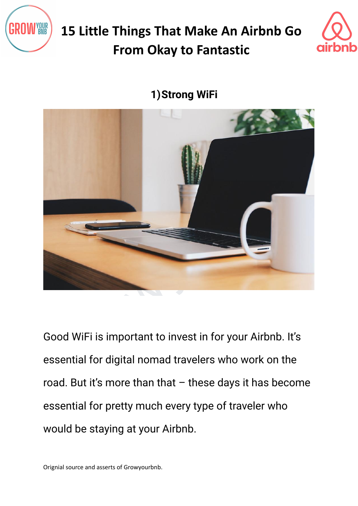



**1)Strong WiFi**



Good WiFi is important to invest in for your Airbnb. It's essential for digital nomad travelers who work on the road. But it's more than that  $-$  these days it has become essential for pretty much every type of traveler who would be staying at your Airbnb.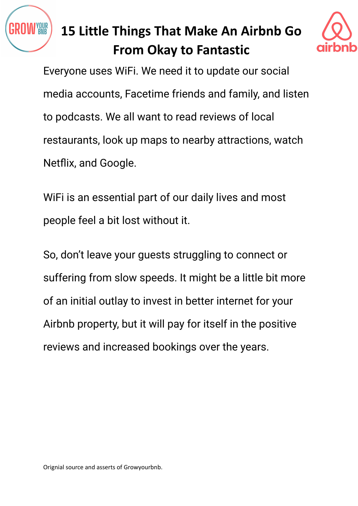



Everyone uses WiFi. We need it to update our social media accounts, Facetime friends and family, and listen to podcasts. We all want to read reviews of local restaurants, look up maps to nearby attractions, watch Netflix, and Google.

WiFi is an essential part of our daily lives and most people feel a bit lost without it.

staurants, look up maps to nearby attractions, watch<br>etflix, and Google.<br>iFi is an essential part of our daily lives and most<br>eople feel a bit lost without it.<br>b, don't leave your guests struggling to connect or<br>iffering f So, don't leave your guests struggling to connect or suffering from slow speeds. It might be a little bit more of an initial outlay to invest in better internet for your Airbnb property, but it will pay for itself in the positive reviews and increased bookings over the years.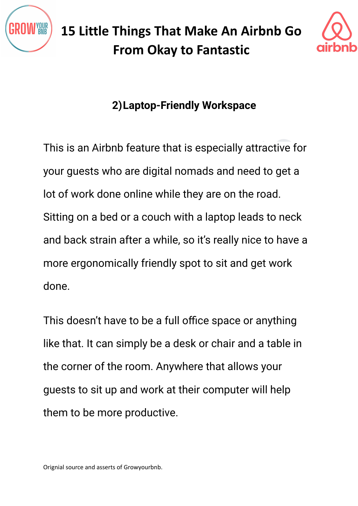



### **2)Laptop-Friendly Workspace**

his is an Airbnb feature that is especially attractive for<br>our guests who are digital nomads and need to get a<br>t of work done online while they are on the road.<br>tting on a bed or a couch with a laptop leads to neck<br>id back This is an Airbnb feature that is especially attractive for your guests who are digital nomads and need to get a lot of work done online while they are on the road. Sitting on a bed or a couch with a laptop leads to neck and back strain after a while, so it's really nice to have a more ergonomically friendly spot to sit and get work done.

This doesn't have to be a full office space or anything like that. It can simply be a desk or chair and a table in the corner of the room. Anywhere that allows your guests to sit up and work at their computer will help them to be more productive.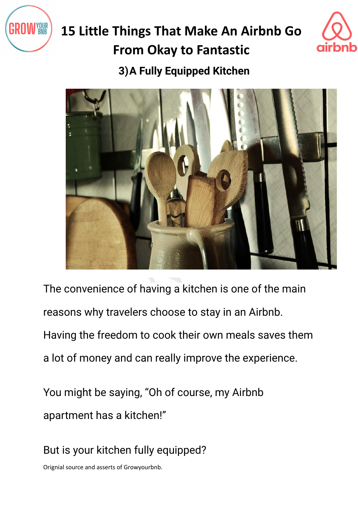



### **3)A Fully Equipped Kitchen**



The convenience of having a kitchen is one of the main reasons why travelers choose to stay in an Airbnb. Having the freedom to cook their own meals saves them a lot of money and can really improve the experience.

You might be saying, "Oh of course, my Airbnb apartment has a kitchen!"

But is your kitchen fully equipped?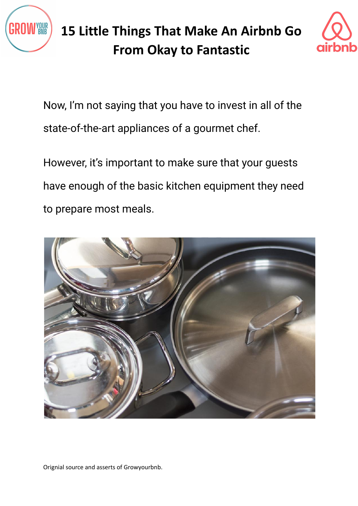



Now, I'm not saying that you have to invest in all of the state-of-the-art appliances of a gourmet chef.

However, it's important to make sure that your guests have enough of the basic kitchen equipment they need to prepare most meals.

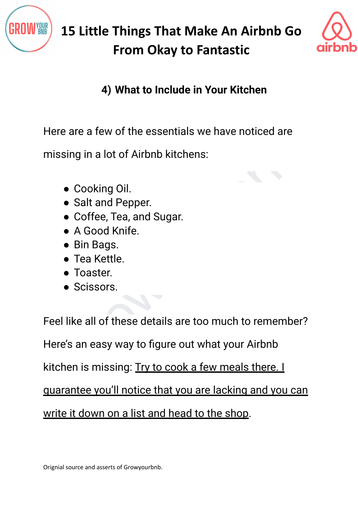



#### **4) What to Include in Your Kitchen**

Here are a few of the essentials we have noticed are

missing in a lot of Airbnb kitchens:

- Cooking Oil.
- Salt and Pepper.
- Coffee, Tea, and Sugar.
- A Good Knife.
- Bin Bags.
- Tea Kettle.
- Toaster.
- Scissors.

ere are a few of the essentials we have noticed are<br>issing in a lot of Airbnb kitchens:<br>
• Cooking Oil.<br>
• Salt and Pepper.<br>
• Coffee, Tea, and Sugar.<br>
• A Good Knife.<br>
• Bin Bags.<br>
• Tea Kettle.<br>
• Toaster.<br>
• Scissors.<br> Feel like all of these details are too much to remember?

Here's an easy way to figure out what your Airbnb

kitchen is missing: Try to cook a few meals there. I

guarantee you'll notice that you are lacking and you can

write it down on a list and head to the shop.

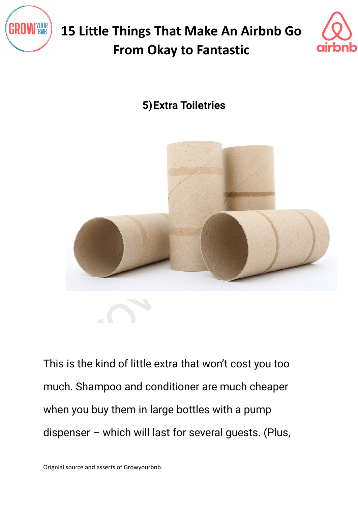



### **5)Extra Toiletries**



This is the kind of little extra that won't cost you too much. Shampoo and conditioner are much cheaper when you buy them in large bottles with a pump dispenser – which will last for several guests. (Plus,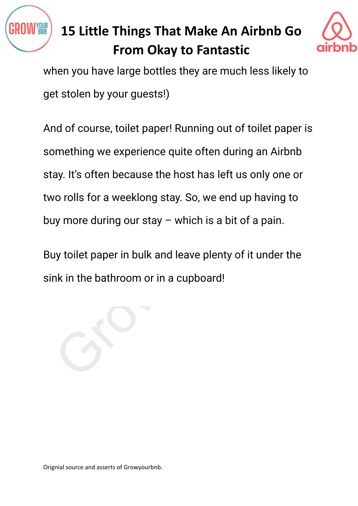



when you have large bottles they are much less likely to get stolen by your guests!)

nd or course, tollet paper! Running out or tollet paper is<br>smething we experience quite often during an Airbnb<br>ay. It's often because the host has left us only one or<br>vo rolls for a weeklong stay. So, we end up having to<br>u And of course, toilet paper! Running out of toilet paper is something we experience quite often during an Airbnb stay. It's often because the host has left us only one or two rolls for a weeklong stay. So, we end up having to buy more during our stay  $-$  which is a bit of a pain.

Buy toilet paper in bulk and leave plenty of it under the sink in the bathroom or in a cupboard!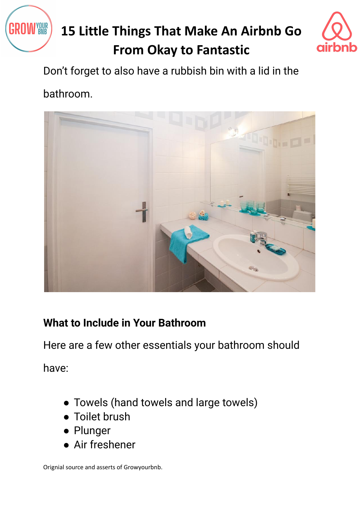



Don't forget to also have a rubbish bin with a lid in the

bathroom.



#### **What to Include in Your Bathroom**

Here are a few other essentials your bathroom should

have:

- Towels (hand towels and large towels)
- Toilet brush
- Plunger
- Air freshener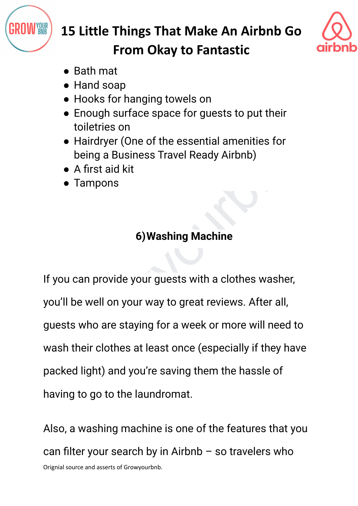



- Bath mat
- Hand soap
- Hooks for hanging towels on
- Enough surface space for guests to put their toiletries on
- Hairdryer (One of the essential amenities for being a Business Travel Ready Airbnb)
- A first aid kit
- Tampons

### **6)Washing Machine**

• Hairdryer (One of the essential amenities for<br>
• Hairdryer (One of the essential amenities for<br>
• A first aid kit<br>
• Tampons<br>
• G) Washing Machine<br>
• G) Washing Machine<br>
you can provide your guests with a clothes washer, If you can provide your guests with a clothes washer, you'll be well on your way to great reviews. After all, guests who are staying for a week or more will need to wash their clothes at least once (especially if they have packed light) and you're saving them the hassle of having to go to the laundromat.

Also, a washing machine is one of the features that you can filter your search by in Airbnb – so travelers who Orignial source and asserts of Growyourbnb.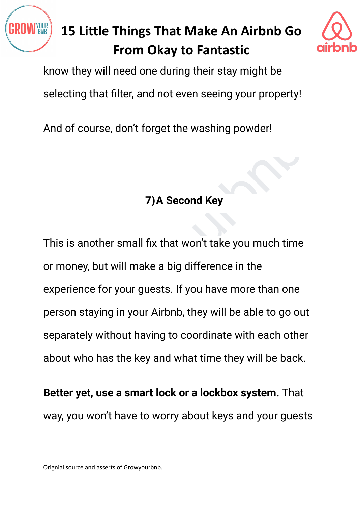



know they will need one during their stay might be

selecting that filter, and not even seeing your property!

And of course, don't forget the washing powder!

### **7)A Second Key**

The washing powder!<br>The second Key<br>The Second Key<br>is is another small fix that won't take you much time<br>money, but will make a big difference in the<br>perience for your guests. If you have more than one<br>reson staying in your This is another small fix that won't take you much time or money, but will make a big difference in the experience for your guests. If you have more than one person staying in your Airbnb, they will be able to go out separately without having to coordinate with each other about who has the key and what time they will be back.

**Better yet, use a smart lock or a lockbox system.** That way, you won't have to worry about keys and your guests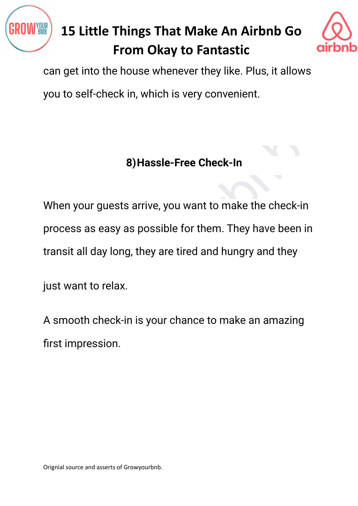



can get into the house whenever they like. Plus, it allows

you to self-check in, which is very convenient.

#### **8)Hassle-Free Check-In**

8) Hassle-Free Check-In<br>hen your guests arrive, you want to make the check-in<br>ocess as easy as possible for them. They have been in<br>ansit all day long, they are tired and hungry and they<br>st want to relax.<br>smooth check-in i When your guests arrive, you want to make the check-in process as easy as possible for them. They have been in transit all day long, they are tired and hungry and they

just want to relax.

A smooth check-in is your chance to make an amazing first impression.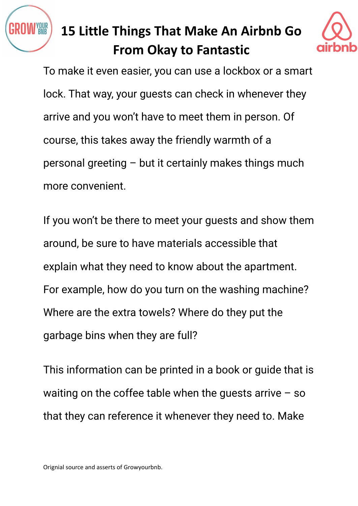



To make it even easier, you can use a lockbox or a smart lock. That way, your guests can check in whenever they arrive and you won't have to meet them in person. Of course, this takes away the friendly warmth of a personal greeting – but it certainly makes things much more convenient.

burse, this takes away the friendly warmth of a<br>prsonal greeting – but it certainly makes things much<br>ore convenient.<br>you won't be there to meet your guests and show them<br>ound, be sure to have materials accessible that<br>pla If you won't be there to meet your guests and show them around, be sure to have materials accessible that explain what they need to know about the apartment. For example, how do you turn on the washing machine? Where are the extra towels? Where do they put the garbage bins when they are full?

This information can be printed in a book or guide that is waiting on the coffee table when the guests arrive  $-$  so that they can reference it whenever they need to. Make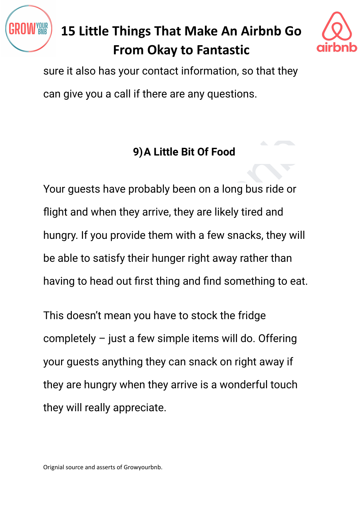



sure it also has your contact information, so that they can give you a call if there are any questions.

### **9)A Little Bit Of Food**

9) A Little Bit Of Food<br>bur guests have probably been on a long bus ride or<br>ght and when they arrive, they are likely tired and<br>ungry. If you provide them with a few snacks, they will<br>able to satisfy their hunger right awa Your guests have probably been on a long bus ride or flight and when they arrive, they are likely tired and hungry. If you provide them with a few snacks, they will be able to satisfy their hunger right away rather than having to head out first thing and find something to eat.

This doesn't mean you have to stock the fridge completely – just a few simple items will do. Offering your guests anything they can snack on right away if they are hungry when they arrive is a wonderful touch they will really appreciate.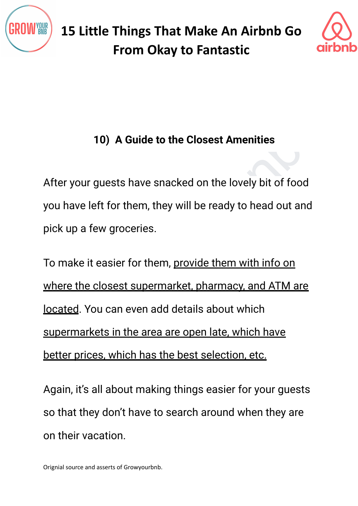



### **10) A Guide to the Closest Amenities**

After your guests have snacked on the lovely bit of food you have left for them, they will be ready to head out and pick up a few groceries.

10) A Guide to the Closest Amenities<br>ter your guests have snacked on the lovely bit of food<br>u have left for them, they will be ready to head out and<br>ck up a few groceries.<br>b make it easier for them, <u>provide them with info</u> To make it easier for them, provide them with info on where the closest supermarket, pharmacy, and ATM are located. You can even add details about which supermarkets in the area are open late, which have better prices, which has the best selection, etc.

Again, it's all about making things easier for your guests so that they don't have to search around when they are on their vacation.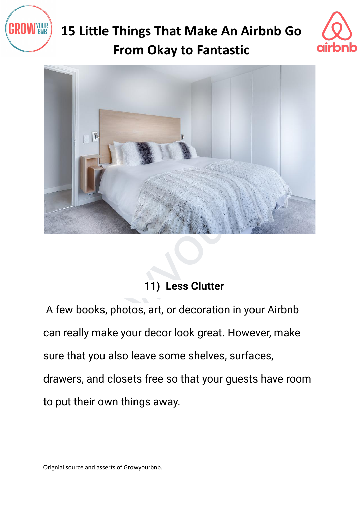





### **11) Less Clutter**

A few books, photos, art, or decoration in your Airbnb can really make your decor look great. However, make sure that you also leave some shelves, surfaces, drawers, and closets free so that your guests have room to put their own things away.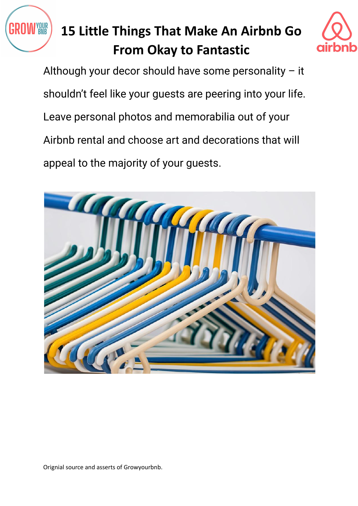



Although your decor should have some personality – it shouldn't feel like your guests are peering into your life. Leave personal photos and memorabilia out of your Airbnb rental and choose art and decorations that will appeal to the majority of your guests.

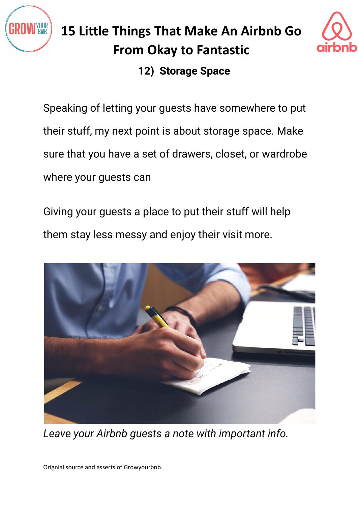



#### **12) Storage Space**

Speaking of letting your guests have somewhere to put their stuff, my next point is about storage space. Make sure that you have a set of drawers, closet, or wardrobe where your guests can

Giving your guests a place to put their stuff will help them stay less messy and enjoy their visit more.



*Leave your Airbnb guests a note with important info.*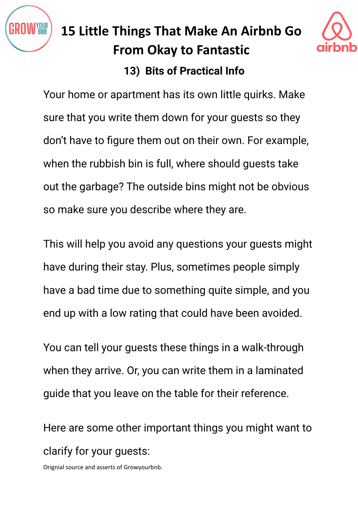

### **15 Little Things That Make An Airbnb Go From Okay to Fantastic 13) Bits of Practical Info**



on't have to figure them out on their own. For example,<br>hen the rubbish bin is full, where should guests take<br>at the garbage? The outside bins might not be obvious<br>o make sure you describe where they are.<br>his will help you Your home or apartment has its own little quirks. Make sure that you write them down for your guests so they don't have to figure them out on their own. For example, when the rubbish bin is full, where should guests take out the garbage? The outside bins might not be obvious so make sure you describe where they are.

This will help you avoid any questions your guests might have during their stay. Plus, sometimes people simply have a bad time due to something quite simple, and you end up with a low rating that could have been avoided.

You can tell your guests these things in a walk-through when they arrive. Or, you can write them in a laminated guide that you leave on the table for their reference.

Here are some other important things you might want to clarify for your guests: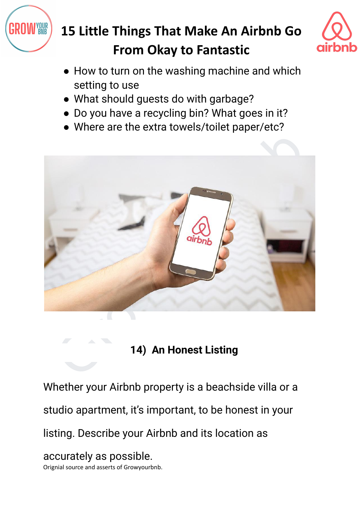



- How to turn on the washing machine and which setting to use
- What should guests do with garbage?
- Do you have a recycling bin? What goes in it?
- Where are the extra towels/toilet paper/etc?



**14) An Honest Listing**

Whether your Airbnb property is a beachside villa or a

studio apartment, it's important, to be honest in your

listing. Describe your Airbnb and its location as

accurately as possible. Orignial source and asserts of Growyourbnb.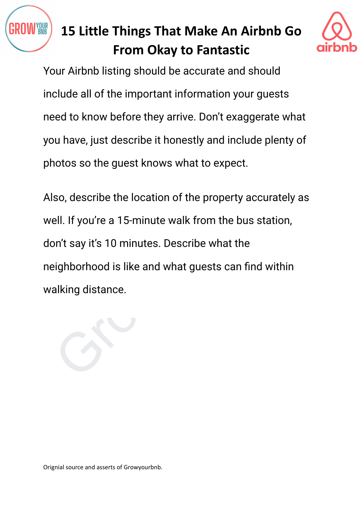



Your Airbnb listing should be accurate and should include all of the important information your guests need to know before they arrive. Don't exaggerate what you have, just describe it honestly and include plenty of photos so the guest knows what to expect.

ou have, just describe it honestly and include plenty of notos so the guest knows what to expect.<br>So, describe the location of the property accurately as<br>ell. If you're a 15-minute walk from the bus station,<br>on't say it's Also, describe the location of the property accurately as well. If you're a 15-minute walk from the bus station, don't say it's 10 minutes. Describe what the neighborhood is like and what guests can find within walking distance.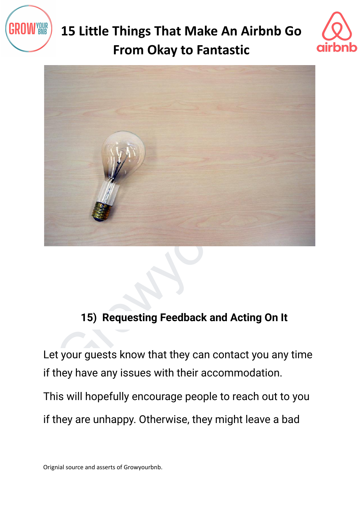





#### **15) Requesting Feedback and Acting On It**

Let your guests know that they can contact you any time if they have any issues with their accommodation.

This will hopefully encourage people to reach out to you

if they are unhappy. Otherwise, they might leave a bad